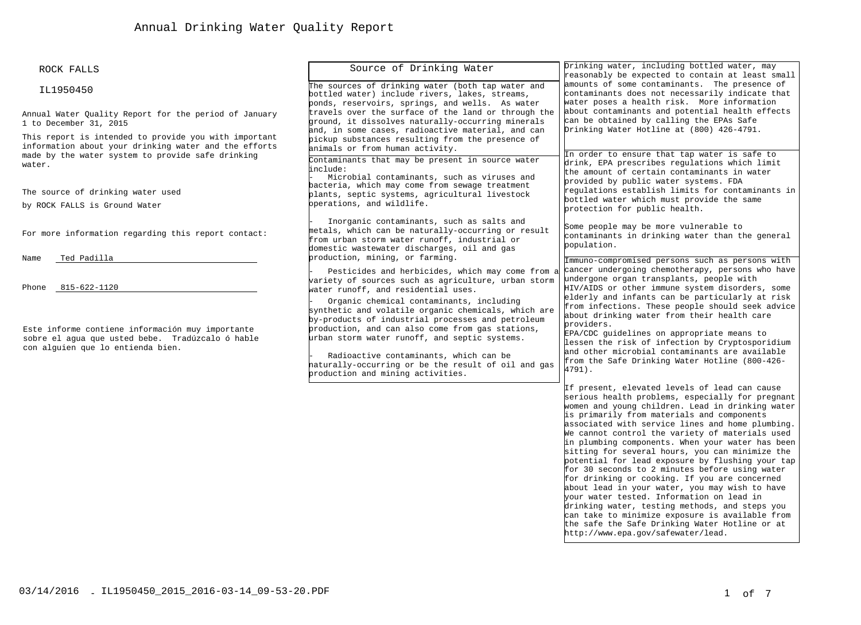| ROCK FALLS |
|------------|
|            |

#### IL1950450

Annual Water Quality Report for the period of January 1 to December 31, 2015

This report is intended to provide you with important information about your drinking water and the efforts made by the water system to provide safe drinking water.

The source of drinking water used

by ROCK FALLS is Ground Water

For more information regarding this report contact:

Name Ted Padilla

Phone 815-622-1120

Este informe contiene información muy importante sobre el agua que usted bebe. Tradúzcalo ó hable con alguien que lo entienda bien.

Source of Drinking Water The sources of drinking water (both tap water and bottled water) include rivers, lakes, streams, ponds, reservoirs, springs, and wells. As water travels over the surface of the land or through the ground, it dissolves naturally-occurring minerals and, in some cases, radioactive material, and can pickup substances resulting from the presence of animals or from human activity. Contaminants that may be present in source water include: Microbial contaminants, such as viruses and bacteria, which may come from sewage treatment plants, septic systems, agricultural livestock operations, and wildlife. Inorganic contaminants, such as salts and metals, which can be naturally-occurring or result from urban storm water runoff, industrial or domestic wastewater discharges, oil and gas production, mining, or farming. Pesticides and herbicides, which may come from a variety of sources such as agriculture, urban storm water runoff, and residential uses. Organic chemical contaminants, including synthetic and volatile organic chemicals, which are by-products of industrial processes and petroleum production, and can also come from gas stations, urban storm water runoff, and septic systems. Radioactive contaminants, which can be naturally-occurring or be the result of oil and gas production and mining activities. Drinking water, including bottled water, may reasonably be expected to contain at least small amounts of some contaminants. The presence of contaminants does not necessarily indicate that water poses a health risk. More information about contaminants and potential health effects can be obtained by calling the EPAs Safe Drinking Water Hotline at (800) 426-4791. In order to ensure that tap water is safe to drink, EPA prescribes regulations which limit the amount of certain contaminants in water provided by public water systems. FDA regulations establish limits for contaminants in bottled water which must provide the same protection for public health. Some people may be more vulnerable to contaminants in drinking water than the general population. Immuno-compromised persons such as persons with cancer undergoing chemotherapy, persons who have undergone organ transplants, people with HIV/AIDS or other immune system disorders, some elderly and infants can be particularly at risk from infections. These people should seek advice about drinking water from their health care providers. EPA/CDC guidelines on appropriate means to lessen the risk of infection by Cryptosporidium and other microbial contaminants are available from the Safe Drinking Water Hotline (800-426- 4791). If present, elevated levels of lead can cause serious health problems, especially for pregnant women and young children. Lead in drinking water is primarily from materials and components associated with service lines and home plumbing. We cannot control the variety of materials used in plumbing components. When your water has been sitting for several hours, you can minimize the potential for lead exposure by flushing your tap for 30 seconds to 2 minutes before using water for drinking or cooking. If you are concerned about lead in your water, you may wish to have your water tested. Information on lead in drinking water, testing methods, and steps you

03/14/2016 LIL1950450\_2015\_2016-03-14\_09-53-20.PDF 1 of 7

can take to minimize exposure is available from the safe the Safe Drinking Water Hotline or a[t](http://www.epa.gov/safewater/lead)

[http://www.epa.gov/safewater/lead.](http://www.epa.gov/safewater/lead)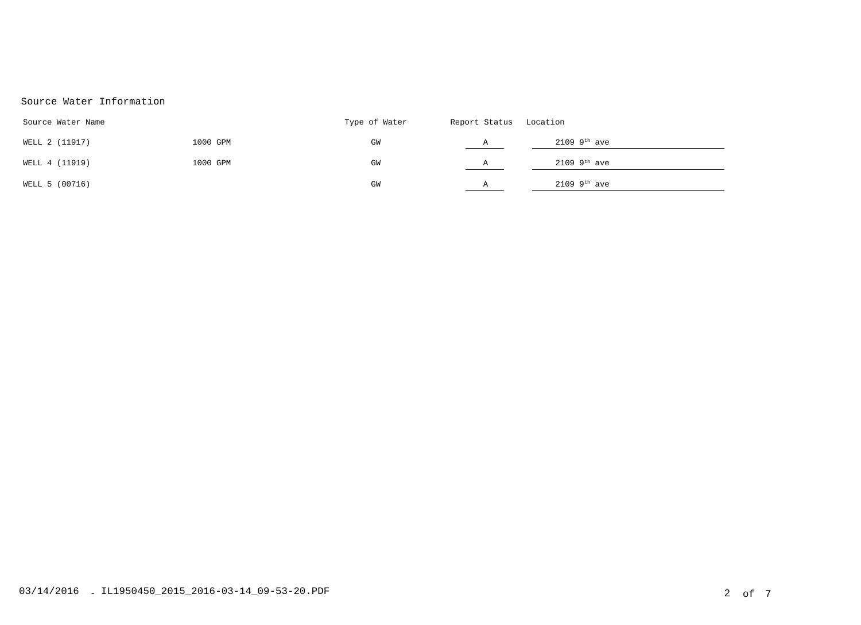# Source Water Information

| Source Water Name |          | Type of Water | Report Status Location |                            |
|-------------------|----------|---------------|------------------------|----------------------------|
| WELL 2 (11917)    | 1000 GPM | GM            | А                      | $2109$ 9 <sup>th</sup> ave |
| WELL 4 (11919)    | 1000 GPM | GM            | Α                      | $2109$ 9 <sup>th</sup> ave |
| WELL 5 (00716)    |          | GM            | A                      | $2109$ 9 <sup>th</sup> ave |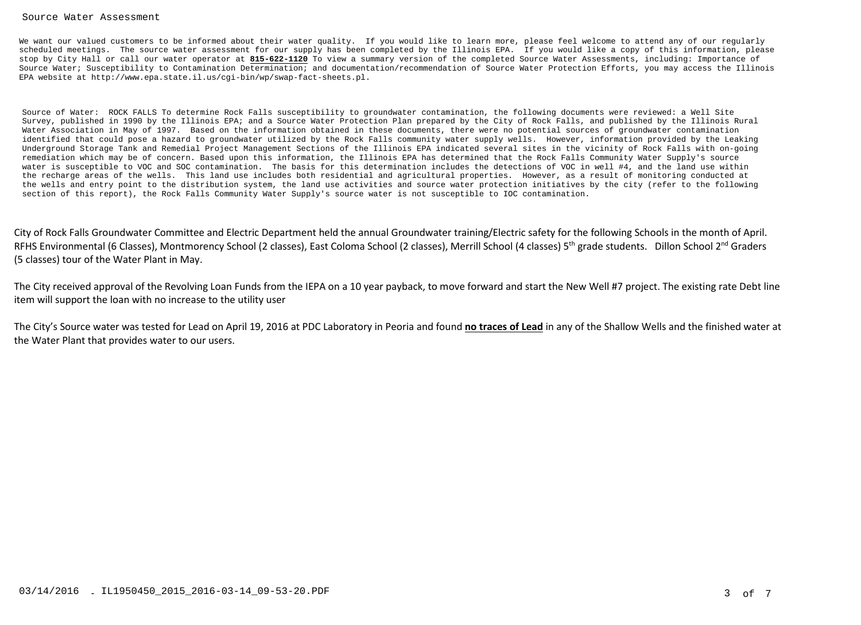#### Source Water Assessment

We want our valued customers to be informed about their water quality. If you would like to learn more, please feel welcome to attend any of our regularly scheduled meetings. The source water assessment for our supply has been completed by the Illinois EPA. If you would like a copy of this information, please stop by City Hall or call our water operator at **815-622-1120** To view a summary version of the completed Source Water Assessments, including: Importance of Source Water; Susceptibility to Contamination Determination; and documentation/recommendation of Source Water Protection Efforts, you may access the Illinois EPA [website at http://www.epa.state.il.us/cgi-bin/wp/swap-fact-sheets.pl.](http://www.epa.state.il.us/cgi-bin/wp/swap-fact-sheets.pl)

Source of Water: ROCK FALLS To determine Rock Falls susceptibility to groundwater contamination, the following documents were reviewed: a Well Site Survey, published in 1990 by the Illinois EPA; and a Source Water Protection Plan prepared by the City of Rock Falls, and published by the Illinois Rural Water Association in May of 1997. Based on the information obtained in these documents, there were no potential sources of groundwater contamination identified that could pose a hazard to groundwater utilized by the Rock Falls community water supply wells. However, information provided by the Leaking Underground Storage Tank and Remedial Project Management Sections of the Illinois EPA indicated several sites in the vicinity of Rock Falls with on-going remediation which may be of concern. Based upon this information, the Illinois EPA has determined that the Rock Falls Community Water Supply's source water is susceptible to VOC and SOC contamination. The basis for this determination includes the detections of VOC in well #4, and the land use within the recharge areas of the wells. This land use includes both residential and agricultural properties. However, as a result of monitoring conducted at the wells and entry point to the distribution system, the land use activities and source water protection initiatives by the city (refer to the following section of this report), the Rock Falls Community Water Supply's source water is not susceptible to IOC contamination.

City of Rock Falls Groundwater Committee and Electric Department held the annual Groundwater training/Electric safety for the following Schools in the month of April. RFHS Environmental (6 Classes), Montmorency School (2 classes), East Coloma School (2 classes), Merrill School (4 classes) 5<sup>th</sup> grade students. Dillon School 2<sup>nd</sup> Graders (5 classes) tour of the Water Plant in May.

The City received approval of the Revolving Loan Funds from the IEPA on a 10 year payback, to move forward and start the New Well #7 project. The existing rate Debt line item will support the loan with no increase to the utility user

The City's Source water was tested for Lead on April 19, 2016 at PDC Laboratory in Peoria and found **no traces of Lead** in any of the Shallow Wells and the finished water at the Water Plant that provides water to our users.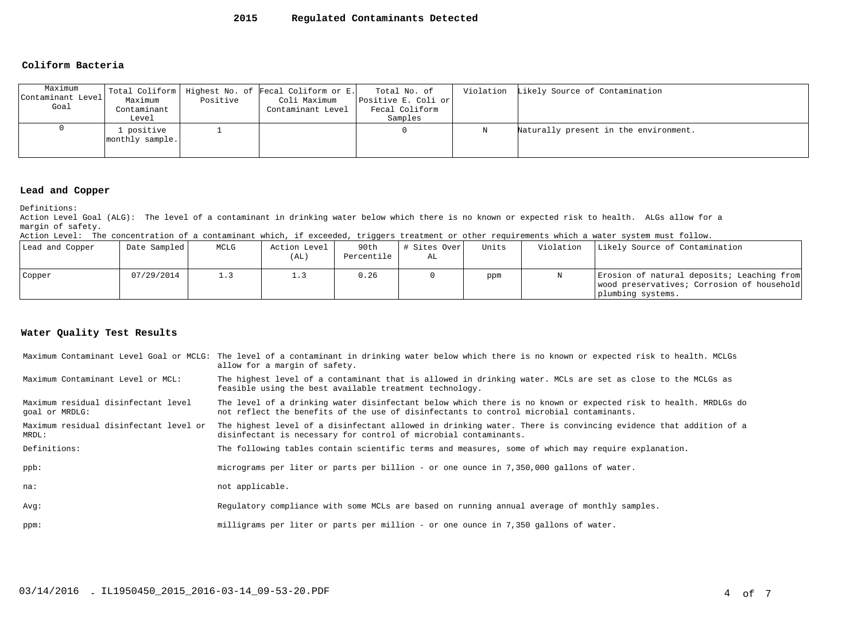### **2015 Regulated Contaminants Detected**

#### **Coliform Bacteria**

| Maximum<br>Contaminant Level<br>Goal | Maximum<br>Contaminant<br>Level | Positive | Total Coliform   Highest No. of Fecal Coliform or E.<br>Coli Maximum<br>Contaminant Level | Total No. of<br>Positive E. Coli or<br>Fecal Coliform<br>Samples |   | Violation Likely Source of Contamination |
|--------------------------------------|---------------------------------|----------|-------------------------------------------------------------------------------------------|------------------------------------------------------------------|---|------------------------------------------|
|                                      | l positive<br>monthly sample.   |          |                                                                                           |                                                                  | Ν | Naturally present in the environment.    |

#### **Lead and Copper**

Definitions:

Action Level Goal (ALG): The level of a contaminant in drinking water below which there is no known or expected risk to health. ALGs allow for a margin of safety.

Action Level: The concentration of a contaminant which, if exceeded, triggers treatment or other requirements which a water system must follow.

| Lead and Copper | Date Sampled | MCLG | Action Level<br>(AL | 90th<br>Percentile | # Sites Over<br>AL | Units | Violation | Likely Source of Contamination                                                                                |
|-----------------|--------------|------|---------------------|--------------------|--------------------|-------|-----------|---------------------------------------------------------------------------------------------------------------|
| Copper          | 07/29/2014   |      |                     | 0.26               |                    | ppm   |           | Erosion of natural deposits; Leaching from<br>wood preservatives; Corrosion of household<br>plumbing systems. |

### **Water Quality Test Results**

|                                                       | Maximum Contaminant Level Goal or MCLG: The level of a contaminant in drinking water below which there is no known or expected risk to health. MCLGs<br>allow for a margin of safety.                     |
|-------------------------------------------------------|-----------------------------------------------------------------------------------------------------------------------------------------------------------------------------------------------------------|
| Maximum Contaminant Level or MCL:                     | The highest level of a contaminant that is allowed in drinking water. MCLs are set as close to the MCLGs as<br>feasible using the best available treatment technology.                                    |
| Maximum residual disinfectant level<br>goal or MRDLG: | The level of a drinking water disinfectant below which there is no known or expected risk to health. MRDLGs do<br>not reflect the benefits of the use of disinfectants to control microbial contaminants. |
| Maximum residual disinfectant level or<br>MRDL:       | The highest level of a disinfectant allowed in drinking water. There is convincing evidence that addition of a<br>disinfectant is necessary for control of microbial contaminants.                        |
| Definitions:                                          | The following tables contain scientific terms and measures, some of which may require explanation.                                                                                                        |
| ppb:                                                  | micrograms per liter or parts per billion - or one ounce in 7,350,000 gallons of water.                                                                                                                   |
| na:                                                   | not applicable.                                                                                                                                                                                           |
| Avq:                                                  | Requlatory compliance with some MCLs are based on running annual average of monthly samples.                                                                                                              |
| ppm:                                                  | milligrams per liter or parts per million - or one ounce in 7,350 gallons of water.                                                                                                                       |